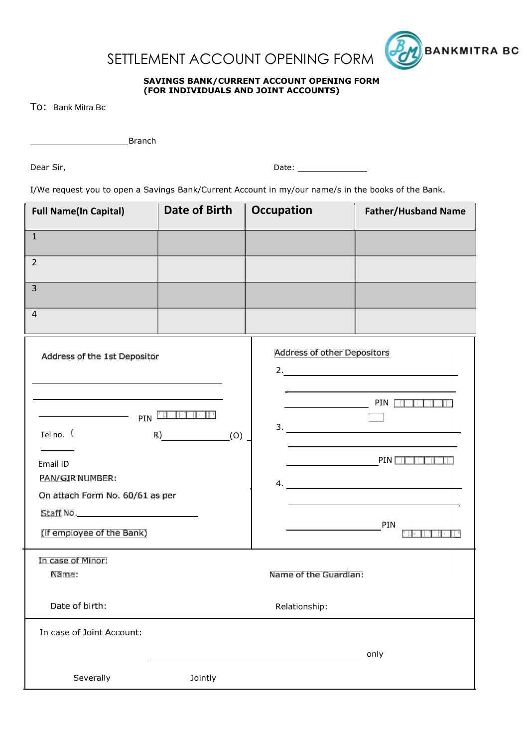



## **SAVINGS BANK/CURRENT ACCOUNT OPENING FORM (FOR INDIVIDUALS AND JOINT ACCOUNTS)**

To: Bank Mitra Bc

Branch

Dear Sir, Dear Sir, Date: 2008. [1] Date: 2008. [1] Date: 2008. [1] Date: 2008. [1] Date: 2008. [1] Date: 2008. [1] Date: 2008. [1] Date: 2008. [1] Date: 2008. [1] Date: 2008. [1] Date: 2008. [1] Date: 2008. [1] Date: 2008

I/We request you to open a Savings Bank/Current Account in my/our name/s in the books of the Bank.

| <b>Full Name(In Capital)</b>                                                                                 | <b>Date of Birth</b> | <b>Occupation</b>                                                                     | <b>Father/Husband Name</b> |
|--------------------------------------------------------------------------------------------------------------|----------------------|---------------------------------------------------------------------------------------|----------------------------|
| $\mathbf{1}$                                                                                                 |                      |                                                                                       |                            |
| $\overline{2}$                                                                                               |                      |                                                                                       |                            |
| 3                                                                                                            |                      |                                                                                       |                            |
| 4                                                                                                            |                      |                                                                                       |                            |
| Address of the 1st Depositor                                                                                 |                      | <b>Address of other Depositors</b><br>2.                                              |                            |
| PIN<br>Tel no. (<br>R)<br>(0)<br>Email ID<br>PAN/GIRINUMBER:<br>On attach Form No. 60/61 as per<br>Staff No. |                      | PIN <b>THEFT</b><br>$\frac{r}{\sqrt{1-r}}$<br>3.<br><b>Example 2</b> PIN<br>4.<br>PIN |                            |
| (if employee of the Bank)                                                                                    |                      |                                                                                       |                            |
| In case of Minor:<br>Name:<br>Name of the Guardian:                                                          |                      |                                                                                       |                            |
| Date of birth:                                                                                               | Relationship:        |                                                                                       |                            |
| In case of Joint Account:                                                                                    |                      |                                                                                       |                            |
|                                                                                                              |                      |                                                                                       | only                       |
| Severally                                                                                                    | Jointly              |                                                                                       |                            |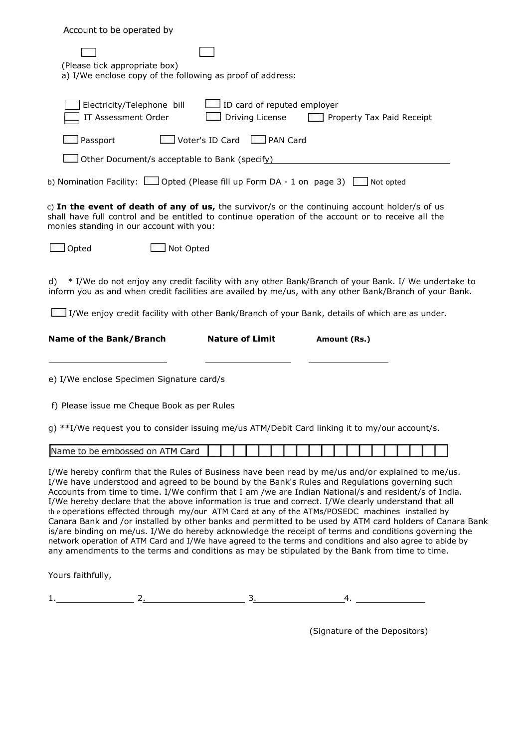| Account to be operated by                                                                                                                                                                                                                                                                                                                                                                                                                                                                                                                                                                                                                                                                                                                                                                                                                                                                                                                                   |
|-------------------------------------------------------------------------------------------------------------------------------------------------------------------------------------------------------------------------------------------------------------------------------------------------------------------------------------------------------------------------------------------------------------------------------------------------------------------------------------------------------------------------------------------------------------------------------------------------------------------------------------------------------------------------------------------------------------------------------------------------------------------------------------------------------------------------------------------------------------------------------------------------------------------------------------------------------------|
| (Please tick appropriate box)<br>a) I/We enclose copy of the following as proof of address:                                                                                                                                                                                                                                                                                                                                                                                                                                                                                                                                                                                                                                                                                                                                                                                                                                                                 |
| ID card of reputed employer<br>Electricity/Telephone bill<br>IT Assessment Order<br>Driving License<br>Property Tax Paid Receipt                                                                                                                                                                                                                                                                                                                                                                                                                                                                                                                                                                                                                                                                                                                                                                                                                            |
| Voter's ID Card<br>PAN Card<br>Passport                                                                                                                                                                                                                                                                                                                                                                                                                                                                                                                                                                                                                                                                                                                                                                                                                                                                                                                     |
| Other Document/s acceptable to Bank (specify)                                                                                                                                                                                                                                                                                                                                                                                                                                                                                                                                                                                                                                                                                                                                                                                                                                                                                                               |
| b) Nomination Facility: [10] Opted (Please fill up Form DA - 1 on page 3) Not opted                                                                                                                                                                                                                                                                                                                                                                                                                                                                                                                                                                                                                                                                                                                                                                                                                                                                         |
| c) In the event of death of any of us, the survivor/s or the continuing account holder/s of us<br>shall have full control and be entitled to continue operation of the account or to receive all the<br>monies standing in our account with you:                                                                                                                                                                                                                                                                                                                                                                                                                                                                                                                                                                                                                                                                                                            |
| Opted<br>Not Opted                                                                                                                                                                                                                                                                                                                                                                                                                                                                                                                                                                                                                                                                                                                                                                                                                                                                                                                                          |
| * I/We do not enjoy any credit facility with any other Bank/Branch of your Bank. I/ We undertake to<br>d)<br>inform you as and when credit facilities are availed by me/us, with any other Bank/Branch of your Bank.<br>I/We enjoy credit facility with other Bank/Branch of your Bank, details of which are as under.                                                                                                                                                                                                                                                                                                                                                                                                                                                                                                                                                                                                                                      |
| Name of the Bank/Branch<br><b>Nature of Limit</b><br>Amount (Rs.)                                                                                                                                                                                                                                                                                                                                                                                                                                                                                                                                                                                                                                                                                                                                                                                                                                                                                           |
| e) I/We enclose Specimen Signature card/s                                                                                                                                                                                                                                                                                                                                                                                                                                                                                                                                                                                                                                                                                                                                                                                                                                                                                                                   |
| f) Please issue me Cheque Book as per Rules                                                                                                                                                                                                                                                                                                                                                                                                                                                                                                                                                                                                                                                                                                                                                                                                                                                                                                                 |
| g) **I/We request you to consider issuing me/us ATM/Debit Card linking it to my/our account/s.                                                                                                                                                                                                                                                                                                                                                                                                                                                                                                                                                                                                                                                                                                                                                                                                                                                              |
| Name to be embossed on ATM Card                                                                                                                                                                                                                                                                                                                                                                                                                                                                                                                                                                                                                                                                                                                                                                                                                                                                                                                             |
| I/We hereby confirm that the Rules of Business have been read by me/us and/or explained to me/us.<br>I/We have understood and agreed to be bound by the Bank's Rules and Regulations governing such<br>Accounts from time to time. I/We confirm that I am /we are Indian National/s and resident/s of India.<br>I/We hereby declare that the above information is true and correct. I/We clearly understand that all<br>the operations effected through my/our ATM Card at any of the ATMs/POSEDC machines installed by<br>Canara Bank and /or installed by other banks and permitted to be used by ATM card holders of Canara Bank<br>is/are binding on me/us. I/We do hereby acknowledge the receipt of terms and conditions governing the<br>network operation of ATM Card and I/We have agreed to the terms and conditions and also agree to abide by<br>any amendments to the terms and conditions as may be stipulated by the Bank from time to time. |
| Yours faithfully,                                                                                                                                                                                                                                                                                                                                                                                                                                                                                                                                                                                                                                                                                                                                                                                                                                                                                                                                           |

1. 2. 2. 3. 4. 4. 2.  $\frac{1}{2}$ 

(Signature of the Depositors)